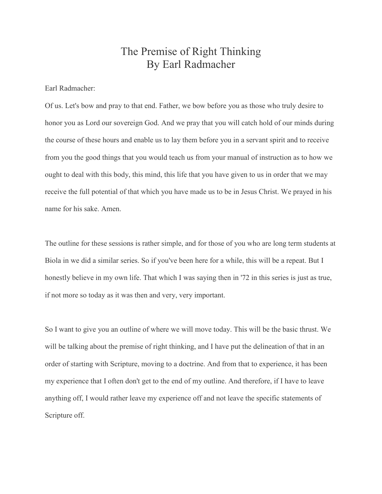## The Premise of Right Thinking By Earl Radmacher

Earl Radmacher:

Of us. Let's bow and pray to that end. Father, we bow before you as those who truly desire to honor you as Lord our sovereign God. And we pray that you will catch hold of our minds during the course of these hours and enable us to lay them before you in a servant spirit and to receive from you the good things that you would teach us from your manual of instruction as to how we ought to deal with this body, this mind, this life that you have given to us in order that we may receive the full potential of that which you have made us to be in Jesus Christ. We prayed in his name for his sake. Amen.

The outline for these sessions is rather simple, and for those of you who are long term students at Biola in we did a similar series. So if you've been here for a while, this will be a repeat. But I honestly believe in my own life. That which I was saying then in '72 in this series is just as true, if not more so today as it was then and very, very important.

So I want to give you an outline of where we will move today. This will be the basic thrust. We will be talking about the premise of right thinking, and I have put the delineation of that in an order of starting with Scripture, moving to a doctrine. And from that to experience, it has been my experience that I often don't get to the end of my outline. And therefore, if I have to leave anything off, I would rather leave my experience off and not leave the specific statements of Scripture off.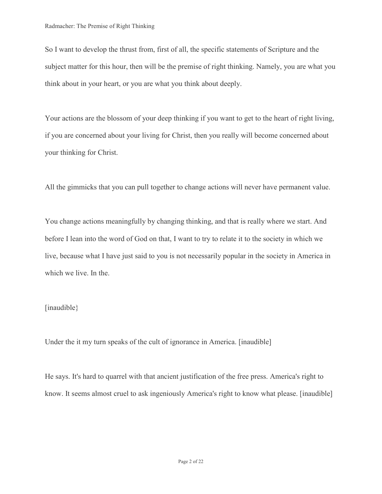So I want to develop the thrust from, first of all, the specific statements of Scripture and the subject matter for this hour, then will be the premise of right thinking. Namely, you are what you think about in your heart, or you are what you think about deeply.

Your actions are the blossom of your deep thinking if you want to get to the heart of right living, if you are concerned about your living for Christ, then you really will become concerned about your thinking for Christ.

All the gimmicks that you can pull together to change actions will never have permanent value.

You change actions meaningfully by changing thinking, and that is really where we start. And before I lean into the word of God on that, I want to try to relate it to the society in which we live, because what I have just said to you is not necessarily popular in the society in America in which we live. In the.

## [inaudible}

Under the it my turn speaks of the cult of ignorance in America. [inaudible]

He says. It's hard to quarrel with that ancient justification of the free press. America's right to know. It seems almost cruel to ask ingeniously America's right to know what please. [inaudible]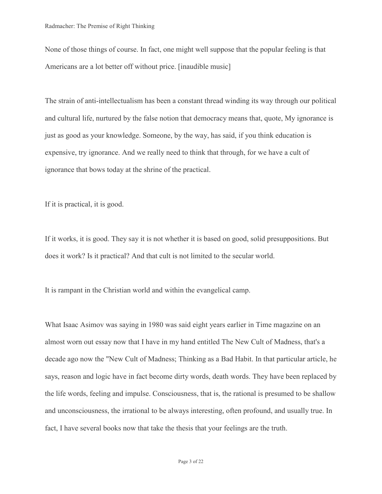None of those things of course. In fact, one might well suppose that the popular feeling is that Americans are a lot better off without price. [inaudible music]

The strain of anti-intellectualism has been a constant thread winding its way through our political and cultural life, nurtured by the false notion that democracy means that, quote, My ignorance is just as good as your knowledge. Someone, by the way, has said, if you think education is expensive, try ignorance. And we really need to think that through, for we have a cult of ignorance that bows today at the shrine of the practical.

If it is practical, it is good.

If it works, it is good. They say it is not whether it is based on good, solid presuppositions. But does it work? Is it practical? And that cult is not limited to the secular world.

It is rampant in the Christian world and within the evangelical camp.

What Isaac Asimov was saying in 1980 was said eight years earlier in Time magazine on an almost worn out essay now that I have in my hand entitled The New Cult of Madness, that's a decade ago now the "New Cult of Madness; Thinking as a Bad Habit. In that particular article, he says, reason and logic have in fact become dirty words, death words. They have been replaced by the life words, feeling and impulse. Consciousness, that is, the rational is presumed to be shallow and unconsciousness, the irrational to be always interesting, often profound, and usually true. In fact, I have several books now that take the thesis that your feelings are the truth.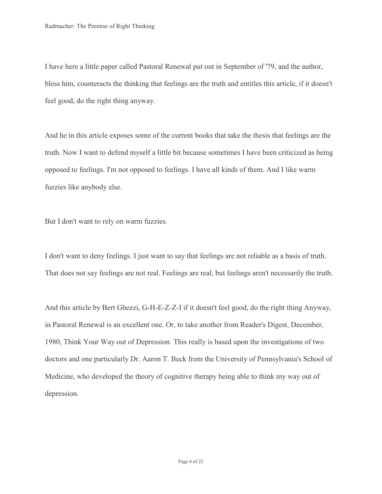I have here a little paper called Pastoral Renewal put out in September of '79, and the author, bless him, counteracts the thinking that feelings are the truth and entitles this article, if it doesn't feel good, do the right thing anyway.

And he in this article exposes some of the current books that take the thesis that feelings are the truth. Now I want to defend myself a little bit because sometimes I have been criticized as being opposed to feelings. I'm not opposed to feelings. I have all kinds of them. And I like warm fuzzies like anybody else.

But I don't want to rely on warm fuzzies.

I don't want to deny feelings. I just want to say that feelings are not reliable as a basis of truth. That does not say feelings are not real. Feelings are real, but feelings aren't necessarily the truth.

And this article by Bert Ghezzi, G-H-E-Z-Z-I if it doesn't feel good, do the right thing Anyway, in Pastoral Renewal is an excellent one. Or, to take another from Reader's Digest, December, 1980, Think Your Way out of Depression. This really is based upon the investigations of two doctors and one particularly Dr. Aaron T. Beck from the University of Pennsylvania's School of Medicine, who developed the theory of cognitive therapy being able to think my way out of depression.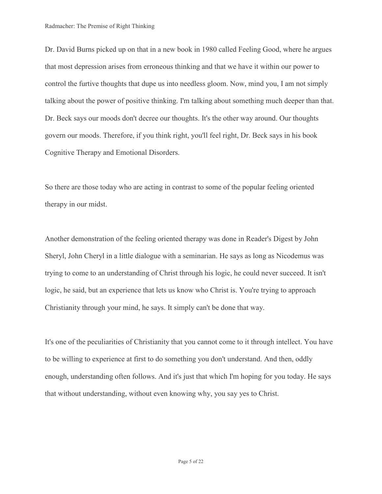Dr. David Burns picked up on that in a new book in 1980 called Feeling Good, where he argues that most depression arises from erroneous thinking and that we have it within our power to control the furtive thoughts that dupe us into needless gloom. Now, mind you, I am not simply talking about the power of positive thinking. I'm talking about something much deeper than that. Dr. Beck says our moods don't decree our thoughts. It's the other way around. Our thoughts govern our moods. Therefore, if you think right, you'll feel right, Dr. Beck says in his book Cognitive Therapy and Emotional Disorders.

So there are those today who are acting in contrast to some of the popular feeling oriented therapy in our midst.

Another demonstration of the feeling oriented therapy was done in Reader's Digest by John Sheryl, John Cheryl in a little dialogue with a seminarian. He says as long as Nicodemus was trying to come to an understanding of Christ through his logic, he could never succeed. It isn't logic, he said, but an experience that lets us know who Christ is. You're trying to approach Christianity through your mind, he says. It simply can't be done that way.

It's one of the peculiarities of Christianity that you cannot come to it through intellect. You have to be willing to experience at first to do something you don't understand. And then, oddly enough, understanding often follows. And it's just that which I'm hoping for you today. He says that without understanding, without even knowing why, you say yes to Christ.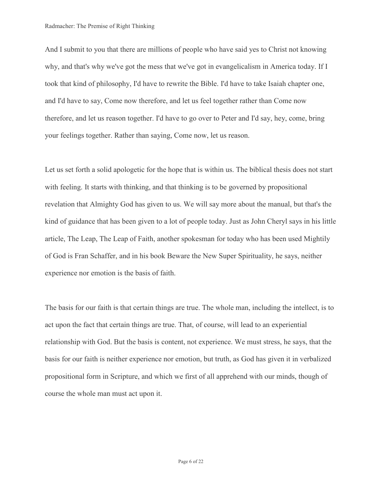And I submit to you that there are millions of people who have said yes to Christ not knowing why, and that's why we've got the mess that we've got in evangelicalism in America today. If I took that kind of philosophy, I'd have to rewrite the Bible. I'd have to take Isaiah chapter one, and I'd have to say, Come now therefore, and let us feel together rather than Come now therefore, and let us reason together. I'd have to go over to Peter and I'd say, hey, come, bring your feelings together. Rather than saying, Come now, let us reason.

Let us set forth a solid apologetic for the hope that is within us. The biblical thesis does not start with feeling. It starts with thinking, and that thinking is to be governed by propositional revelation that Almighty God has given to us. We will say more about the manual, but that's the kind of guidance that has been given to a lot of people today. Just as John Cheryl says in his little article, The Leap, The Leap of Faith, another spokesman for today who has been used Mightily of God is Fran Schaffer, and in his book Beware the New Super Spirituality, he says, neither experience nor emotion is the basis of faith.

The basis for our faith is that certain things are true. The whole man, including the intellect, is to act upon the fact that certain things are true. That, of course, will lead to an experiential relationship with God. But the basis is content, not experience. We must stress, he says, that the basis for our faith is neither experience nor emotion, but truth, as God has given it in verbalized propositional form in Scripture, and which we first of all apprehend with our minds, though of course the whole man must act upon it.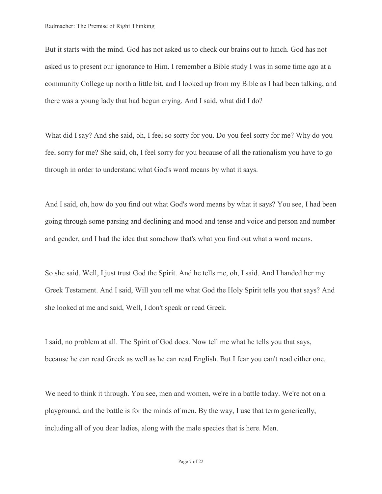But it starts with the mind. God has not asked us to check our brains out to lunch. God has not asked us to present our ignorance to Him. I remember a Bible study I was in some time ago at a community College up north a little bit, and I looked up from my Bible as I had been talking, and there was a young lady that had begun crying. And I said, what did I do?

What did I say? And she said, oh, I feel so sorry for you. Do you feel sorry for me? Why do you feel sorry for me? She said, oh, I feel sorry for you because of all the rationalism you have to go through in order to understand what God's word means by what it says.

And I said, oh, how do you find out what God's word means by what it says? You see, I had been going through some parsing and declining and mood and tense and voice and person and number and gender, and I had the idea that somehow that's what you find out what a word means.

So she said, Well, I just trust God the Spirit. And he tells me, oh, I said. And I handed her my Greek Testament. And I said, Will you tell me what God the Holy Spirit tells you that says? And she looked at me and said, Well, I don't speak or read Greek.

I said, no problem at all. The Spirit of God does. Now tell me what he tells you that says, because he can read Greek as well as he can read English. But I fear you can't read either one.

We need to think it through. You see, men and women, we're in a battle today. We're not on a playground, and the battle is for the minds of men. By the way, I use that term generically, including all of you dear ladies, along with the male species that is here. Men.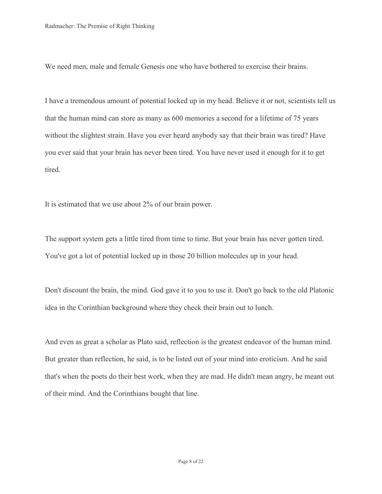We need men, male and female Genesis one who have bothered to exercise their brains.

I have a tremendous amount of potential locked up in my head. Believe it or not, scientists tell us that the human mind can store as many as 600 memories a second for a lifetime of 75 years without the slightest strain. Have you ever heard anybody say that their brain was tired? Have you ever said that your brain has never been tired. You have never used it enough for it to get tired.

It is estimated that we use about 2% of our brain power.

The support system gets a little tired from time to time. But your brain has never gotten tired. You've got a lot of potential locked up in those 20 billion molecules up in your head.

Don't discount the brain, the mind. God gave it to you to use it. Don't go back to the old Platonic idea in the Corinthian background where they check their brain out to lunch.

And even as great a scholar as Plato said, reflection is the greatest endeavor of the human mind. But greater than reflection, he said, is to be listed out of your mind into eroticism. And he said that's when the poets do their best work, when they are mad. He didn't mean angry, he meant out of their mind. And the Corinthians bought that line.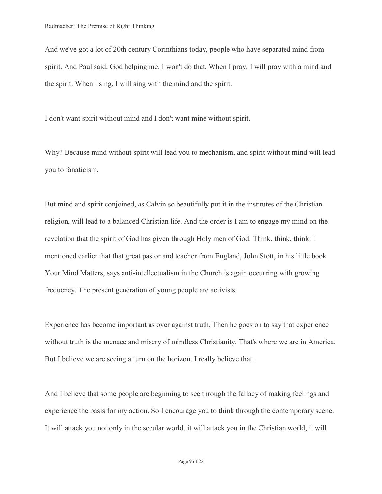And we've got a lot of 20th century Corinthians today, people who have separated mind from spirit. And Paul said, God helping me. I won't do that. When I pray, I will pray with a mind and the spirit. When I sing, I will sing with the mind and the spirit.

I don't want spirit without mind and I don't want mine without spirit.

Why? Because mind without spirit will lead you to mechanism, and spirit without mind will lead you to fanaticism.

But mind and spirit conjoined, as Calvin so beautifully put it in the institutes of the Christian religion, will lead to a balanced Christian life. And the order is I am to engage my mind on the revelation that the spirit of God has given through Holy men of God. Think, think, think. I mentioned earlier that that great pastor and teacher from England, John Stott, in his little book Your Mind Matters, says anti-intellectualism in the Church is again occurring with growing frequency. The present generation of young people are activists.

Experience has become important as over against truth. Then he goes on to say that experience without truth is the menace and misery of mindless Christianity. That's where we are in America. But I believe we are seeing a turn on the horizon. I really believe that.

And I believe that some people are beginning to see through the fallacy of making feelings and experience the basis for my action. So I encourage you to think through the contemporary scene. It will attack you not only in the secular world, it will attack you in the Christian world, it will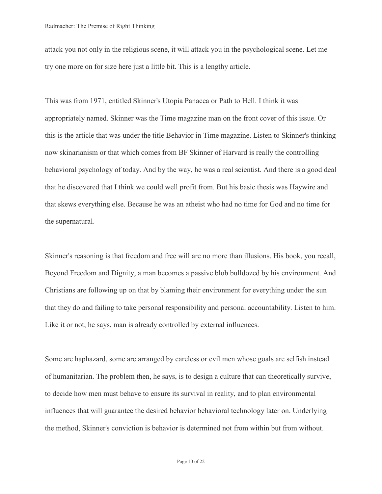attack you not only in the religious scene, it will attack you in the psychological scene. Let me try one more on for size here just a little bit. This is a lengthy article.

This was from 1971, entitled Skinner's Utopia Panacea or Path to Hell. I think it was appropriately named. Skinner was the Time magazine man on the front cover of this issue. Or this is the article that was under the title Behavior in Time magazine. Listen to Skinner's thinking now skinarianism or that which comes from BF Skinner of Harvard is really the controlling behavioral psychology of today. And by the way, he was a real scientist. And there is a good deal that he discovered that I think we could well profit from. But his basic thesis was Haywire and that skews everything else. Because he was an atheist who had no time for God and no time for the supernatural.

Skinner's reasoning is that freedom and free will are no more than illusions. His book, you recall, Beyond Freedom and Dignity, a man becomes a passive blob bulldozed by his environment. And Christians are following up on that by blaming their environment for everything under the sun that they do and failing to take personal responsibility and personal accountability. Listen to him. Like it or not, he says, man is already controlled by external influences.

Some are haphazard, some are arranged by careless or evil men whose goals are selfish instead of humanitarian. The problem then, he says, is to design a culture that can theoretically survive, to decide how men must behave to ensure its survival in reality, and to plan environmental influences that will guarantee the desired behavior behavioral technology later on. Underlying the method, Skinner's conviction is behavior is determined not from within but from without.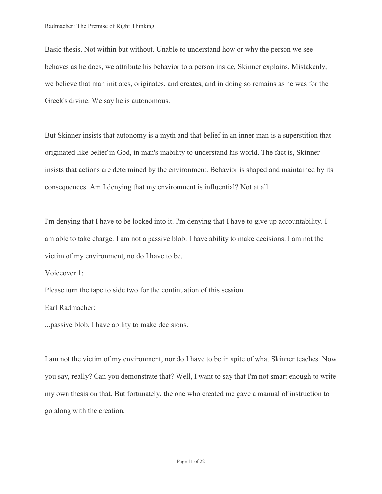Basic thesis. Not within but without. Unable to understand how or why the person we see behaves as he does, we attribute his behavior to a person inside, Skinner explains. Mistakenly, we believe that man initiates, originates, and creates, and in doing so remains as he was for the Greek's divine. We say he is autonomous.

But Skinner insists that autonomy is a myth and that belief in an inner man is a superstition that originated like belief in God, in man's inability to understand his world. The fact is, Skinner insists that actions are determined by the environment. Behavior is shaped and maintained by its consequences. Am I denying that my environment is influential? Not at all.

I'm denying that I have to be locked into it. I'm denying that I have to give up accountability. I am able to take charge. I am not a passive blob. I have ability to make decisions. I am not the victim of my environment, no do I have to be.

Voiceover 1:

Please turn the tape to side two for the continuation of this session.

Earl Radmacher:

...passive blob. I have ability to make decisions.

I am not the victim of my environment, nor do I have to be in spite of what Skinner teaches. Now you say, really? Can you demonstrate that? Well, I want to say that I'm not smart enough to write my own thesis on that. But fortunately, the one who created me gave a manual of instruction to go along with the creation.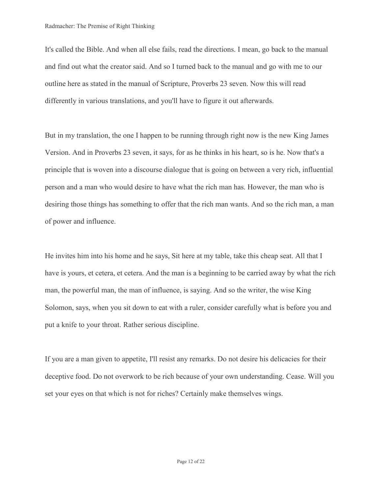It's called the Bible. And when all else fails, read the directions. I mean, go back to the manual and find out what the creator said. And so I turned back to the manual and go with me to our outline here as stated in the manual of Scripture, Proverbs 23 seven. Now this will read differently in various translations, and you'll have to figure it out afterwards.

But in my translation, the one I happen to be running through right now is the new King James Version. And in Proverbs 23 seven, it says, for as he thinks in his heart, so is he. Now that's a principle that is woven into a discourse dialogue that is going on between a very rich, influential person and a man who would desire to have what the rich man has. However, the man who is desiring those things has something to offer that the rich man wants. And so the rich man, a man of power and influence.

He invites him into his home and he says, Sit here at my table, take this cheap seat. All that I have is yours, et cetera, et cetera. And the man is a beginning to be carried away by what the rich man, the powerful man, the man of influence, is saying. And so the writer, the wise King Solomon, says, when you sit down to eat with a ruler, consider carefully what is before you and put a knife to your throat. Rather serious discipline.

If you are a man given to appetite, I'll resist any remarks. Do not desire his delicacies for their deceptive food. Do not overwork to be rich because of your own understanding. Cease. Will you set your eyes on that which is not for riches? Certainly make themselves wings.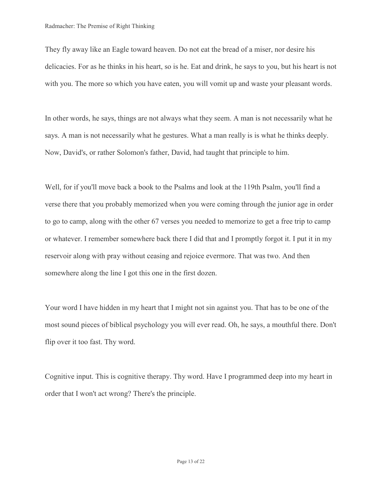They fly away like an Eagle toward heaven. Do not eat the bread of a miser, nor desire his delicacies. For as he thinks in his heart, so is he. Eat and drink, he says to you, but his heart is not with you. The more so which you have eaten, you will vomit up and waste your pleasant words.

In other words, he says, things are not always what they seem. A man is not necessarily what he says. A man is not necessarily what he gestures. What a man really is is what he thinks deeply. Now, David's, or rather Solomon's father, David, had taught that principle to him.

Well, for if you'll move back a book to the Psalms and look at the 119th Psalm, you'll find a verse there that you probably memorized when you were coming through the junior age in order to go to camp, along with the other 67 verses you needed to memorize to get a free trip to camp or whatever. I remember somewhere back there I did that and I promptly forgot it. I put it in my reservoir along with pray without ceasing and rejoice evermore. That was two. And then somewhere along the line I got this one in the first dozen.

Your word I have hidden in my heart that I might not sin against you. That has to be one of the most sound pieces of biblical psychology you will ever read. Oh, he says, a mouthful there. Don't flip over it too fast. Thy word.

Cognitive input. This is cognitive therapy. Thy word. Have I programmed deep into my heart in order that I won't act wrong? There's the principle.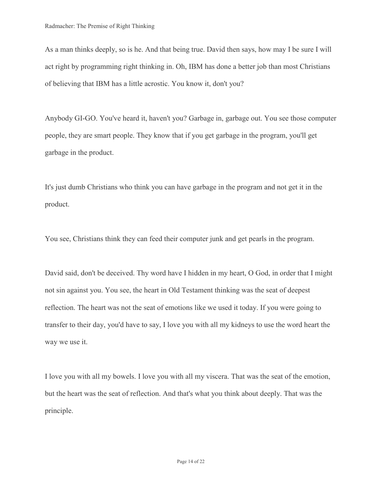As a man thinks deeply, so is he. And that being true. David then says, how may I be sure I will act right by programming right thinking in. Oh, IBM has done a better job than most Christians of believing that IBM has a little acrostic. You know it, don't you?

Anybody GI-GO. You've heard it, haven't you? Garbage in, garbage out. You see those computer people, they are smart people. They know that if you get garbage in the program, you'll get garbage in the product.

It's just dumb Christians who think you can have garbage in the program and not get it in the product.

You see, Christians think they can feed their computer junk and get pearls in the program.

David said, don't be deceived. Thy word have I hidden in my heart, O God, in order that I might not sin against you. You see, the heart in Old Testament thinking was the seat of deepest reflection. The heart was not the seat of emotions like we used it today. If you were going to transfer to their day, you'd have to say, I love you with all my kidneys to use the word heart the way we use it.

I love you with all my bowels. I love you with all my viscera. That was the seat of the emotion, but the heart was the seat of reflection. And that's what you think about deeply. That was the principle.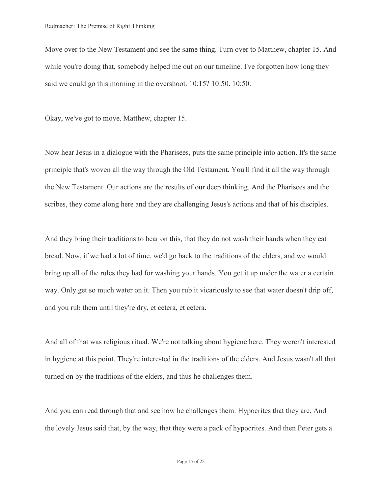Move over to the New Testament and see the same thing. Turn over to Matthew, chapter 15. And while you're doing that, somebody helped me out on our timeline. I've forgotten how long they said we could go this morning in the overshoot. 10:15? 10:50. 10:50.

Okay, we've got to move. Matthew, chapter 15.

Now hear Jesus in a dialogue with the Pharisees, puts the same principle into action. It's the same principle that's woven all the way through the Old Testament. You'll find it all the way through the New Testament. Our actions are the results of our deep thinking. And the Pharisees and the scribes, they come along here and they are challenging Jesus's actions and that of his disciples.

And they bring their traditions to bear on this, that they do not wash their hands when they eat bread. Now, if we had a lot of time, we'd go back to the traditions of the elders, and we would bring up all of the rules they had for washing your hands. You get it up under the water a certain way. Only get so much water on it. Then you rub it vicariously to see that water doesn't drip off, and you rub them until they're dry, et cetera, et cetera.

And all of that was religious ritual. We're not talking about hygiene here. They weren't interested in hygiene at this point. They're interested in the traditions of the elders. And Jesus wasn't all that turned on by the traditions of the elders, and thus he challenges them.

And you can read through that and see how he challenges them. Hypocrites that they are. And the lovely Jesus said that, by the way, that they were a pack of hypocrites. And then Peter gets a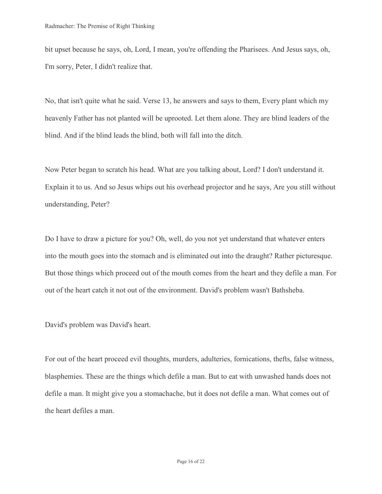bit upset because he says, oh, Lord, I mean, you're offending the Pharisees. And Jesus says, oh, I'm sorry, Peter, I didn't realize that.

No, that isn't quite what he said. Verse 13, he answers and says to them, Every plant which my heavenly Father has not planted will be uprooted. Let them alone. They are blind leaders of the blind. And if the blind leads the blind, both will fall into the ditch.

Now Peter began to scratch his head. What are you talking about, Lord? I don't understand it. Explain it to us. And so Jesus whips out his overhead projector and he says, Are you still without understanding, Peter?

Do I have to draw a picture for you? Oh, well, do you not yet understand that whatever enters into the mouth goes into the stomach and is eliminated out into the draught? Rather picturesque. But those things which proceed out of the mouth comes from the heart and they defile a man. For out of the heart catch it not out of the environment. David's problem wasn't Bathsheba.

David's problem was David's heart.

For out of the heart proceed evil thoughts, murders, adulteries, fornications, thefts, false witness, blasphemies. These are the things which defile a man. But to eat with unwashed hands does not defile a man. It might give you a stomachache, but it does not defile a man. What comes out of the heart defiles a man.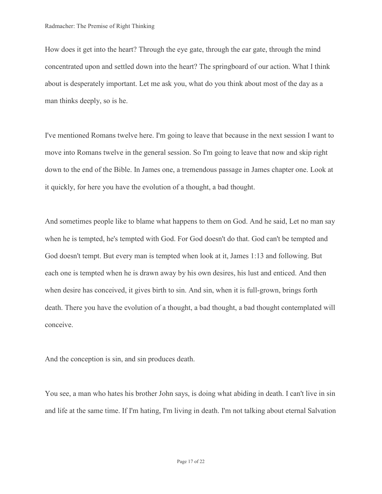How does it get into the heart? Through the eye gate, through the ear gate, through the mind concentrated upon and settled down into the heart? The springboard of our action. What I think about is desperately important. Let me ask you, what do you think about most of the day as a man thinks deeply, so is he.

I've mentioned Romans twelve here. I'm going to leave that because in the next session I want to move into Romans twelve in the general session. So I'm going to leave that now and skip right down to the end of the Bible. In James one, a tremendous passage in James chapter one. Look at it quickly, for here you have the evolution of a thought, a bad thought.

And sometimes people like to blame what happens to them on God. And he said, Let no man say when he is tempted, he's tempted with God. For God doesn't do that. God can't be tempted and God doesn't tempt. But every man is tempted when look at it, James 1:13 and following. But each one is tempted when he is drawn away by his own desires, his lust and enticed. And then when desire has conceived, it gives birth to sin. And sin, when it is full-grown, brings forth death. There you have the evolution of a thought, a bad thought, a bad thought contemplated will conceive.

And the conception is sin, and sin produces death.

You see, a man who hates his brother John says, is doing what abiding in death. I can't live in sin and life at the same time. If I'm hating, I'm living in death. I'm not talking about eternal Salvation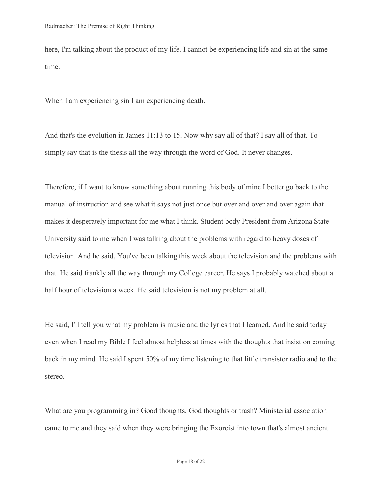here, I'm talking about the product of my life. I cannot be experiencing life and sin at the same time.

When I am experiencing sin I am experiencing death.

And that's the evolution in James 11:13 to 15. Now why say all of that? I say all of that. To simply say that is the thesis all the way through the word of God. It never changes.

Therefore, if I want to know something about running this body of mine I better go back to the manual of instruction and see what it says not just once but over and over and over again that makes it desperately important for me what I think. Student body President from Arizona State University said to me when I was talking about the problems with regard to heavy doses of television. And he said, You've been talking this week about the television and the problems with that. He said frankly all the way through my College career. He says I probably watched about a half hour of television a week. He said television is not my problem at all.

He said, I'll tell you what my problem is music and the lyrics that I learned. And he said today even when I read my Bible I feel almost helpless at times with the thoughts that insist on coming back in my mind. He said I spent 50% of my time listening to that little transistor radio and to the stereo.

What are you programming in? Good thoughts, God thoughts or trash? Ministerial association came to me and they said when they were bringing the Exorcist into town that's almost ancient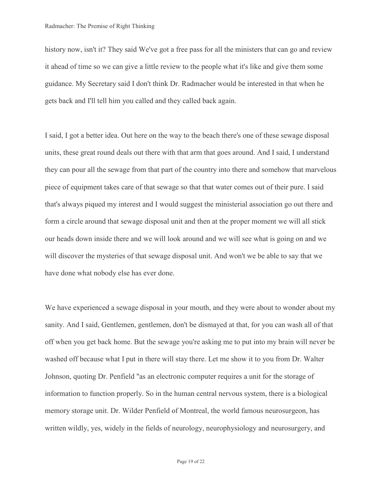history now, isn't it? They said We've got a free pass for all the ministers that can go and review it ahead of time so we can give a little review to the people what it's like and give them some guidance. My Secretary said I don't think Dr. Radmacher would be interested in that when he gets back and I'll tell him you called and they called back again.

I said, I got a better idea. Out here on the way to the beach there's one of these sewage disposal units, these great round deals out there with that arm that goes around. And I said, I understand they can pour all the sewage from that part of the country into there and somehow that marvelous piece of equipment takes care of that sewage so that that water comes out of their pure. I said that's always piqued my interest and I would suggest the ministerial association go out there and form a circle around that sewage disposal unit and then at the proper moment we will all stick our heads down inside there and we will look around and we will see what is going on and we will discover the mysteries of that sewage disposal unit. And won't we be able to say that we have done what nobody else has ever done.

We have experienced a sewage disposal in your mouth, and they were about to wonder about my sanity. And I said, Gentlemen, gentlemen, don't be dismayed at that, for you can wash all of that off when you get back home. But the sewage you're asking me to put into my brain will never be washed off because what I put in there will stay there. Let me show it to you from Dr. Walter Johnson, quoting Dr. Penfield "as an electronic computer requires a unit for the storage of information to function properly. So in the human central nervous system, there is a biological memory storage unit. Dr. Wilder Penfield of Montreal, the world famous neurosurgeon, has written wildly, yes, widely in the fields of neurology, neurophysiology and neurosurgery, and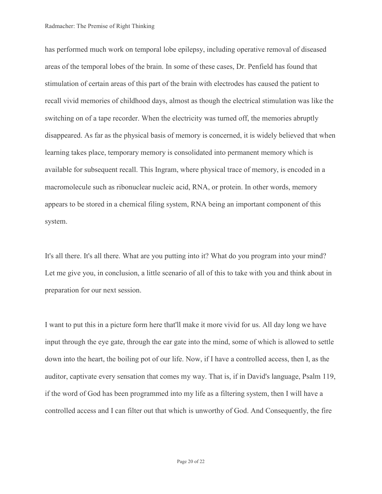has performed much work on temporal lobe epilepsy, including operative removal of diseased areas of the temporal lobes of the brain. In some of these cases, Dr. Penfield has found that stimulation of certain areas of this part of the brain with electrodes has caused the patient to recall vivid memories of childhood days, almost as though the electrical stimulation was like the switching on of a tape recorder. When the electricity was turned off, the memories abruptly disappeared. As far as the physical basis of memory is concerned, it is widely believed that when learning takes place, temporary memory is consolidated into permanent memory which is available for subsequent recall. This Ingram, where physical trace of memory, is encoded in a macromolecule such as ribonuclear nucleic acid, RNA, or protein. In other words, memory appears to be stored in a chemical filing system, RNA being an important component of this system.

It's all there. It's all there. What are you putting into it? What do you program into your mind? Let me give you, in conclusion, a little scenario of all of this to take with you and think about in preparation for our next session.

I want to put this in a picture form here that'll make it more vivid for us. All day long we have input through the eye gate, through the ear gate into the mind, some of which is allowed to settle down into the heart, the boiling pot of our life. Now, if I have a controlled access, then I, as the auditor, captivate every sensation that comes my way. That is, if in David's language, Psalm 119, if the word of God has been programmed into my life as a filtering system, then I will have a controlled access and I can filter out that which is unworthy of God. And Consequently, the fire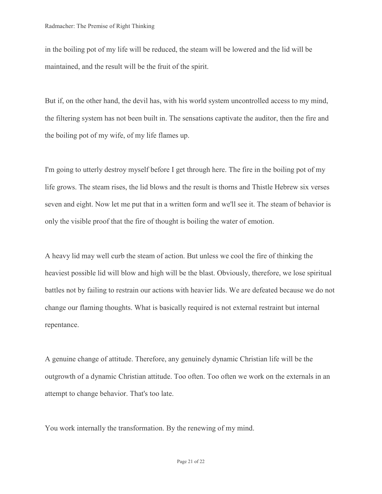in the boiling pot of my life will be reduced, the steam will be lowered and the lid will be maintained, and the result will be the fruit of the spirit.

But if, on the other hand, the devil has, with his world system uncontrolled access to my mind, the filtering system has not been built in. The sensations captivate the auditor, then the fire and the boiling pot of my wife, of my life flames up.

I'm going to utterly destroy myself before I get through here. The fire in the boiling pot of my life grows. The steam rises, the lid blows and the result is thorns and Thistle Hebrew six verses seven and eight. Now let me put that in a written form and we'll see it. The steam of behavior is only the visible proof that the fire of thought is boiling the water of emotion.

A heavy lid may well curb the steam of action. But unless we cool the fire of thinking the heaviest possible lid will blow and high will be the blast. Obviously, therefore, we lose spiritual battles not by failing to restrain our actions with heavier lids. We are defeated because we do not change our flaming thoughts. What is basically required is not external restraint but internal repentance.

A genuine change of attitude. Therefore, any genuinely dynamic Christian life will be the outgrowth of a dynamic Christian attitude. Too often. Too often we work on the externals in an attempt to change behavior. That's too late.

You work internally the transformation. By the renewing of my mind.